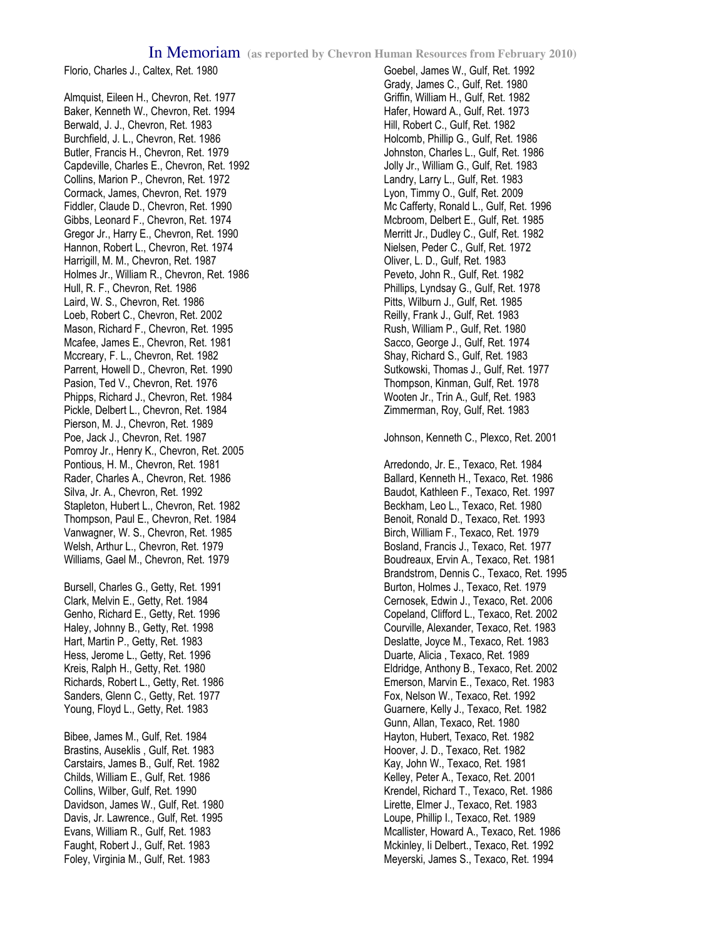## In Memoriam **(as reported by Chevron Human Resources from February 2010)**

Florio, Charles J., Caltex, Ret. 1980

Almquist, Eileen H., Chevron, Ret. 1977 Baker, Kenneth W., Chevron, Ret. 1994 Berwald, J. J., Chevron, Ret. 1983 Burchfield, J. L., Chevron, Ret. 1986 Butler, Francis H., Chevron, Ret. 1979 Capdeville, Charles E., Chevron, Ret. 1992 Collins, Marion P., Chevron, Ret. 1972 Cormack, James, Chevron, Ret. 1979 Fiddler, Claude D., Chevron, Ret. 1990 Gibbs, Leonard F., Chevron, Ret. 1974 Gregor Jr., Harry E., Chevron, Ret. 1990 Hannon, Robert L., Chevron, Ret. 1974 Harrigill, M. M., Chevron, Ret. 1987 Holmes Jr., William R., Chevron, Ret. 1986 Hull, R. F., Chevron, Ret. 1986 Laird, W. S., Chevron, Ret. 1986 Loeb, Robert C., Chevron, Ret. 2002 Mason, Richard F., Chevron, Ret. 1995 Mcafee, James E., Chevron, Ret. 1981 Mccreary, F. L., Chevron, Ret. 1982 Parrent, Howell D., Chevron, Ret. 1990 Pasion, Ted V., Chevron, Ret. 1976 Phipps, Richard J., Chevron, Ret. 1984 Pickle, Delbert L., Chevron, Ret. 1984 Pierson, M. J., Chevron, Ret. 1989 Poe, Jack J., Chevron, Ret. 1987 Pomroy Jr., Henry K., Chevron, Ret. 2005 Pontious, H. M., Chevron, Ret. 1981 Rader, Charles A., Chevron, Ret. 1986 Silva, Jr. A., Chevron, Ret. 1992 Stapleton, Hubert L., Chevron, Ret. 1982 Thompson, Paul E., Chevron, Ret. 1984 Vanwagner, W. S., Chevron, Ret. 1985 Welsh, Arthur L., Chevron, Ret. 1979 Williams, Gael M., Chevron, Ret. 1979

Bursell, Charles G., Getty, Ret. 1991 Clark, Melvin E., Getty, Ret. 1984 Genho, Richard E., Getty, Ret. 1996 Haley, Johnny B., Getty, Ret. 1998 Hart, Martin P., Getty, Ret. 1983 Hess, Jerome L., Getty, Ret. 1996 Kreis, Ralph H., Getty, Ret. 1980 Richards, Robert L., Getty, Ret. 1986 Sanders, Glenn C., Getty, Ret. 1977 Young, Floyd L., Getty, Ret. 1983

Bibee, James M., Gulf, Ret. 1984 Brastins, Auseklis , Gulf, Ret. 1983 Carstairs, James B., Gulf, Ret. 1982 Childs, William E., Gulf, Ret. 1986 Collins, Wilber, Gulf, Ret. 1990 Davidson, James W., Gulf, Ret. 1980 Davis, Jr. Lawrence., Gulf, Ret. 1995 Evans, William R., Gulf, Ret. 1983 Faught, Robert J., Gulf, Ret. 1983 Foley, Virginia M., Gulf, Ret. 1983

Goebel, James W., Gulf, Ret. 1992 Grady, James C., Gulf, Ret. 1980 Griffin, William H., Gulf, Ret. 1982 Hafer, Howard A., Gulf, Ret. 1973 Hill, Robert C., Gulf, Ret. 1982 Holcomb, Phillip G., Gulf, Ret. 1986 Johnston, Charles L., Gulf, Ret. 1986 Jolly Jr., William G., Gulf, Ret. 1983 Landry, Larry L., Gulf, Ret. 1983 Lyon, Timmy O., Gulf, Ret. 2009 Mc Cafferty, Ronald L., Gulf, Ret. 1996 Mcbroom, Delbert E., Gulf, Ret. 1985 Merritt Jr., Dudley C., Gulf, Ret. 1982 Nielsen, Peder C., Gulf, Ret. 1972 Oliver, L. D., Gulf, Ret. 1983 Peveto, John R., Gulf, Ret. 1982 Phillips, Lyndsay G., Gulf, Ret. 1978 Pitts, Wilburn J., Gulf, Ret. 1985 Reilly, Frank J., Gulf, Ret. 1983 Rush, William P., Gulf, Ret. 1980 Sacco, George J., Gulf, Ret. 1974 Shay, Richard S., Gulf, Ret. 1983 Sutkowski, Thomas J., Gulf, Ret. 1977 Thompson, Kinman, Gulf, Ret. 1978 Wooten Jr., Trin A., Gulf, Ret. 1983 Zimmerman, Roy, Gulf, Ret. 1983

Johnson, Kenneth C., Plexco, Ret. 2001

Arredondo, Jr. E., Texaco, Ret. 1984 Ballard, Kenneth H., Texaco, Ret. 1986 Baudot, Kathleen F., Texaco, Ret. 1997 Beckham, Leo L., Texaco, Ret. 1980 Benoit, Ronald D., Texaco, Ret. 1993 Birch, William F., Texaco, Ret. 1979 Bosland, Francis J., Texaco, Ret. 1977 Boudreaux, Ervin A., Texaco, Ret. 1981 Brandstrom, Dennis C., Texaco, Ret. 1995 Burton, Holmes J., Texaco, Ret. 1979 Cernosek, Edwin J., Texaco, Ret. 2006 Copeland, Clifford L., Texaco, Ret. 2002 Courville, Alexander, Texaco, Ret. 1983 Deslatte, Joyce M., Texaco, Ret. 1983 Duarte, Alicia , Texaco, Ret. 1989 Eldridge, Anthony B., Texaco, Ret. 2002 Emerson, Marvin E., Texaco, Ret. 1983 Fox, Nelson W., Texaco, Ret. 1992 Guarnere, Kelly J., Texaco, Ret. 1982 Gunn, Allan, Texaco, Ret. 1980 Hayton, Hubert, Texaco, Ret. 1982 Hoover, J. D., Texaco, Ret. 1982 Kay, John W., Texaco, Ret. 1981 Kelley, Peter A., Texaco, Ret. 2001 Krendel, Richard T., Texaco, Ret. 1986 Lirette, Elmer J., Texaco, Ret. 1983 Loupe, Phillip I., Texaco, Ret. 1989 Mcallister, Howard A., Texaco, Ret. 1986 Mckinley, Ii Delbert., Texaco, Ret. 1992 Meyerski, James S., Texaco, Ret. 1994